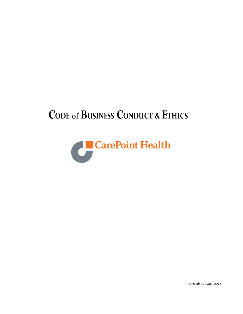# **CODE of BUSINESS CONDUCT & ETHICS**



*Revised: January 2018*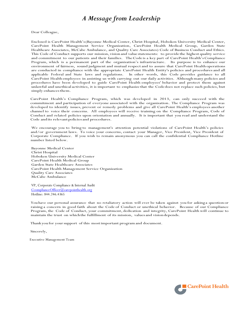# *A Message from Leadership*

Dear Colleague,

Enclosed is CarePoint Health's(Bayonne Medical Center, Christ Hospital, Hoboken University Medical Center, CarePoint Health Management Service Organization, CarePoint Health Medical Group, Garden State Healthcare Associates, McCabe Ambulance, and Quality Care Associates) Code of Business Conduct and Ethics. This Code of Conduct supports our mission, vision and value statements: to provide the highest quality service and commitment to our patients and their families. TheCode is a key part of CarePoint Health'sCompliance Program, which is a permanent part of the organization's infrastructure. Its purpose is to enhance our environment of fairness, sound judgment and mutual respectand to assure that CarePoint Health operations are conducted in compliance with the appropriate CarePoint Health Entity's policies and procedures and all applicable Federal and State laws and regulations. In other words, this Code provides guidance to all CarePoint Health employees in assisting us with carrying out our daily activities. Although many policies and procedures have been developed to guide CarePoint Health employees' behavior and protect them against unlawful and unethicalactivities, it is important to emphasize that the Codedoes not replace such policies, but simply enhances them.

CarePoint Health's Compliance Program, which was developed in 2013, can only succeed with the commitment and participation of everyone associated with the organization. The Compliance Program was developed to identify issues, prevent or remedy problems and give all CarePoint Health's employees another channel to voice their concerns. All employees will receive training on the Compliance Program, Code of Conduct and related policies upon orientation and annually. It is important that you read and understand the Code andits relevantpoliciesand procedures.

We encourage you to bring to management's attention potential violations of CarePoint Health's policies and/or government laws. To voice your concerns, contact your Manager, Vice President, Vice President of Corporate Compliance. If you wish to remain anonymous you can call the confidential Compliance Hotline number listed below.

Bayonne Medical Center Christ Hospital Hoboken University Medical Center CarePoint Health Medical Group Garden State Healthcare Associates CarePoint Health Management Service Organization Quality Care Associates McCabe Ambulance

VP, Corporate Compliance & Internal Audit [CcomplianceOfficer@carepointhealth.org](mailto:CcomplianceOfficer@carepointhealth.org) Hotline: 844.246.4365

You have our personal assurance that no retaliatory action will ever be taken against you for asking a question or raising a concern in good faith about the Code of Conduct or unethical behavior. Because of our Compliance Program, the Code of Conduct, your commitment, dedication and integrity, CarePoint Health will continue to maintain the trust on whichthe fulfillment of its mission, valuesand visiondepends.

Thank you for your support of this most important program and document.

Sincerely,

Executive Management Team

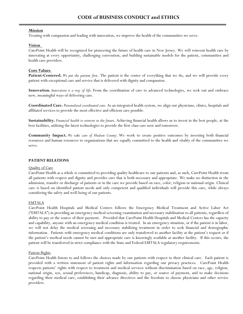# **Mission**

Treating with compassion and leading with innovation, we improve the health of the communities we serve.

# **Vision**

CarePoint Health will be recognized for pioneering the future of health care in New Jersey. We will reinvent health care by innovating at every opportunity, challenging convention, and building sustainable models for the patient, communities and health care providers.

# **Core Values**

**Patient-Centered.** *We put the patient first*. The patient is the center of everything that we do, and we will provide every patient with exceptional care and service that is delivered with dignity and compassion.

**Innovation.** *Innovation is a way of life*. From the coordination of care to advanced technologies, we seek out and embrace new, meaningful ways of delivering care.

**Coordinated Care.** *Personalized coordinated care.* As an integrated health system, we align our physicians, clinics, hospitals and affiliated services to provide the most effective and efficient care possible.

**Sustainability.** *Financial health to reinvest in the future*. Achieving financial health allows us to invest in the best people, at the best facilities, utilizing the latest technologies to provide the first-class care now and tomorrow.

**Community Impact.** *We take care of Hudson County*. We work to create positive outcomes by investing both financial resources and human resources to organizations that are equally committed to the health and vitality of the communities we serve.

# **PATIENT RELATIONS**

# Quality of Care

CarePoint Health as a whole is committed to providing quality healthcare to our patients and, as such, CarePoint Health treats all patients with respect and dignity and provides care that is both necessary and appropriate. We make no distinction in the admission, transfer or discharge of patients or in the care we provide based on race, color, religion or national origin. Clinical care is based on identified patient needs and only competent and qualified individuals will provide this care, while always considering the safety and well-being of our patients.

# EMTALA

CarePoint Health Hospitals and Medical Centers follows the Emergency Medical Treatment and Active Labor Act ("EMTALA") in providing an emergency medical screening examination and necessary stabilization to all patients, regardless of ability to pay or the source of their payment. Provided that CarePoint Health Hospitals and Medical Centers has the capacity and capability, anyone with an emergency medical condition is treated. In an emergency situation, or if the patient is in labor, we will not delay the medical screening and necessary stabilizing treatment in order to seek financial and demographic information. Patients with emergency medical conditions are only transferred to another facility at the patient's request or if the patient's medical needs cannot be met and appropriate care is knowingly available at another facility. If this occurs, the patient will be transferred in strict compliance with the State and Federal EMTALA regulatory requirements.

# Patient Rights

CarePoint Health listens to and follows the choices made by our patients with respect to their clinical care. Each patient is provided with a written statement of patient rights and information regarding our privacy practices. CarePoint Health respects patients' rights with respect to treatment and medical services without discrimination based on race, age, religion, national origin, sex, sexual preferences, handicap, diagnosis, ability to pay, or source of payment, and to make decisions regarding their medical care, establishing their advance directives and the freedom to choose physicians and other service providers.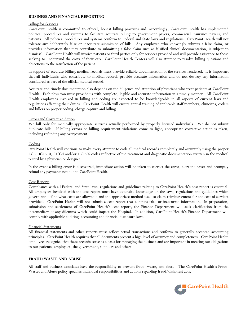# **BUSINESS AND FINANCIAL REPORTING**

# Billing for Services

CarePoint Health is committed to ethical, honest billing practices and, accordingly, CarePoint Health has implemented policies, procedures and systems to facilitate accurate billing to government payers, commercial insurance payers, and patients. All policies, procedures and systems conform to Federal and State laws and regulations. CarePoint Health will not tolerate any deliberately false or inaccurate submission of bills. Any employee who knowingly submits a false claim, or provides information that may contribute to submitting a false claim such as falsified clinical documentation, is subject to dismissal. CarePoint Health will invoice patients or third parties only for services provided and will provide assistance to those seeking to understand the costs of their care. CarePoint Health Centers will also attempt to resolve billing questions and objections to the satisfaction of the patient.

In support of accurate billing, medical records must provide reliable documentation of the services rendered. It is important that all individuals who contribute to medical records provide accurate information and do not destroy any information considered as part of the official medical record.

Accurate and timely documentation also depends on the diligence and attention of physicians who treat patients at CarePoint Health. Each physician must provide us with complete, legible and accurate information in a timely manner. All CarePoint Health employees involved in billing and coding are expected to be knowledgeable in all aspects of current laws and regulations affecting their duties. CarePoint Health will ensure annual training of applicable staff members, clinicians, coders and billers on proper coding, charge capture and billing.

# Errors and Corrective Action

We bill only for medically appropriate services actually performed by properly licensed individuals. We do not submit duplicate bills. If billing errors or billing requirement violations come to light, appropriate corrective action is taken, including refunding any overpayment.

#### **Coding**

CarePoint Health will continue to make every attempt to code all medical records completely and accurately using the proper LCD, ICD-10, CPT-4 and/or HCPCS codes reflective of the treatment and diagnostic documentation written in the medical record by a physician or designee.

In the event a billing error is discovered, immediate action will be taken to correct the error, alert the payer and promptly refund any payments not due to CarePoint Health.

#### Cost Reports

Compliance with all Federal and State laws, regulations and guidelines relating to CarePoint Health's cost report is essential. All employees involved with the cost report must have extensive knowledge on the laws, regulations and guidelines which govern and define what costs are allowable and the appropriate method used to claim reimbursement for the cost of services provided. CarePoint Health will not submit a cost report that contains false or inaccurate information. In preparation, submission and settlement of CarePoint Health's cost report, the Finance Department will seek clarification from the intermediary of any dilemma which could impact the Hospital. In addition, CarePoint Health's Finance Department will comply with applicable auditing, accounting and financial disclosure laws.

#### Financial Statements

All financial statements and other reports must reflect actual transactions and conform to generally accepted accounting principles. CarePoint Health requires that all documents present a high level of accuracy and completeness. CarePoint Health employees recognize that these records serve as a basis for managing the business and are important in meeting our obligations to our patients, employees, the government, suppliers and others.

#### **FRAUD WASTE AND ABUSE**

All staff and business associates have the responsibility to prevent fraud, waste, and abuse. The CarePoint Health's Fraud, Waste, and Abuse policy specifies individual responsibilities and actions regarding fraud/dishonest acts.

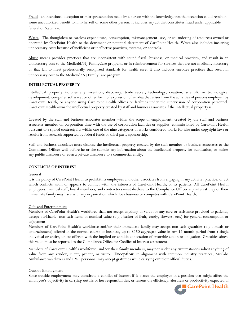Fraud - an intentional deception or misrepresentation made by a person with the knowledge that the deception could result in some unauthorized benefit to him/herself or some other person. It includes any act that constitutes fraud under applicable federal or State law.

Waste - The thoughtless or careless expenditure, consumption, mismanagement, use, or squandering of resources owned or operated by CarePoint Health to the detriment or potential detriment of CarePoint Health. Waste also includes incurring unnecessary costs because of inefficient or ineffective practices, systems, or controls.

Abuse means provider practices that are inconsistent with sound fiscal, business, or medical practices, and result in an unnecessary cost to the Medicaid/NJ FamilyCare program, or in reimbursement for services that are not medically necessary or that fail to meet professionally recognized standards for health care. It also includes enrollee practices that result in unnecessary cost to the Medicaid/NJ FamilyCare program

#### **INTELLECTUAL PROPERTY**

Intellectual property includes any invention, discovery, trade secret, technology, creation, scientific or technological development, computer software, or other form of expression of an idea that arises from the activities of persons employed by CarePoint Health, or anyone using CarePoint Health offices or facilities under the supervision of corporation personnel. CarePoint Health owns the intellectual property created by staff and business associates if the intellectual property is:

Created by the staff and business associates member within the scope of employment; created by the staff and business associates member on corporation time with the use of corporation facilities or supplies; commissioned by CarePoint Health pursuant to a signed contract; fits within one of the nine categories of works considered works for hire under copyright law; or results from research supported by federal funds or third-party sponsorship.

Staff and business associates must disclose the intellectual property created by the staff member or business associates to the Compliance Officer well before he or she submits any information about the intellectual property for publication, or makes any public disclosure or even a private disclosure to a commercial entity.

#### **CONFLICTS OF INTEREST**

#### **General**

It is the policy of CarePoint Health to prohibit its employees and other associates from engaging in any activity, practice, or act which conflicts with, or appears to conflict with, the interests of CarePoint Health, or its patients. All CarePoint Health employees, medical staff, board members, and contractors must disclose to the Compliance Officer any interest they or their immediate family may have with any organization which does business or competes with CarePoint Health.

#### Gifts and Entertainment

Members of CarePoint Health's workforce shall not accept anything of value for any care or assistance provided to patients, except perishable, non-cash items of nominal value (e.g., basket of fruit, candy, flowers, etc.) for general consumption or enjoyment.

Members of CarePoint Health's workforce and/or their immediate family may accept non-cash gratuities (e.g., meals or entertainment) offered in the normal course of business, up to \$150 aggregate value in any 12-month period from a single individual or entity, unless offered with the implied or explicit expectation of favorable action or obligation. Gratuities above this value must be reported to the Compliance Office for Conflict of Interest assessment.

Members of CarePoint Health's workforce, and/or their family members, may not under any circumstances solicit anything of value from any vendor, client, patient, or visitor. **Exception:** In alignment with common industry practices, McCabe Ambulance van drivers and EMT personnel may accept gratuities while carrying out their official duties.

#### Outside Employment

Since outside employment may constitute a conflict of interest if it places the employee in a position that might affect the employee's objectivity in carrying out his or her responsibilities, or lessens the efficiency, alertness or productivity expected of

**CarePoint Health**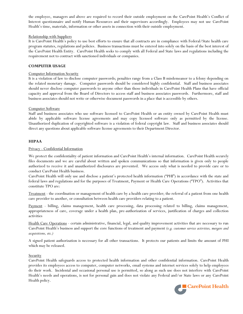the employee, managers and above are required to record their outside employment on the CarePoint Health's Conflict of Interest questionnaire and notify Human Resources and their supervisors accordingly. Employees may not use CarePoint Health's time, materials, information or other assets in connection with their outside employment.

# Relationship with Suppliers

It is CarePoint Health's policy to use best efforts to ensure that all contracts are in compliance with Federal/State health care program statutes, regulations and policies. Business transactions must be entered into solely on the basis of the best interest of the CarePoint Health Entity. CarePoint Health seeks to comply with all Federal and State laws and regulations including the requirement not to contract with sanctioned individuals or companies.

# **COMPUTER USAGE**

#### Computer Information Security

It is a violation of law to disclose computer passwords; penalties range from a Class B misdemeanor to a felony depending on the related monetary damage. Computer passwords should be considered highly confidential. Staff and business associates should never disclose computer passwords to anyone other than those individuals in CarePoint Health Plans that have official capacity and approval from the Board of Directors to access staff and business associates passwords. Furthermore, staff and business associates should not write or otherwise document passwords in a place that is accessible by others.

#### Computer Software

Staff and business associates who use software licensed to CarePoint Health or an entity owned by CarePoint Health must abide by applicable software license agreements and may copy licensed software only as permitted by the license. Unauthorized duplication of copyrighted software is a violation of federal copyright law. Staff and business associates should direct any questions about applicable software license agreements to their Department Director.

#### **HIPAA**

#### Privacy - Confidential Information

We protect the confidentiality of patient information and CarePoint Health's internal information. CarePoint Health securely files documents and we are careful about written and spoken communications so that information is given only to people authorized to receive it and unauthorized disclosures are prevented. We access only what is needed to provide care or to conduct CarePoint Health business.

CarePoint Health will only use and disclose a patient's protected health information ("PHI") in accordance with the state and federal laws and regulations and for the purposes of Treatment, Payment or Health Care Operations ("TPO"). Activities that constitute TPO are:

Treatment - the coordination or management of health care by a health care provider; the referral of a patient from one health care provider to another, or consultation between health care providers relating to a patient.

Payment - billing, claims management, health care processing, data processing related to billing, claims management, appropriateness of care, coverage under a health plan, pre-authorization of services, justification of charges and collection activities

Health Care Operations - certain administrative, financial, legal, and quality improvement activities that are necessary to run CarePoint Health's business and support the core functions of treatment and payment *(e.g. customer service activities, mergers and acquisitions, etc.)*

A signed patient authorization is necessary for all other transactions. It protects our patients and limits the amount of PHI which may be released.

#### **Security**

CarePoint Health safeguards access to protected health information and other confidential information. CarePoint Health provides its employees access to computer, computer networks, email systems and internet services solely to help employees do their work. Incidental and occasional personal use is permitted, so along as such use does not interfere with CarePoint Health's needs and operations, is not for personal gain and does not violate any Federal and/or State laws or any CarePoint Health policy.

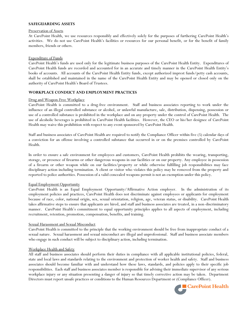# **SAFEGUARDING ASSETS**

#### Preservation of Assets

At CarePoint Health, we use resources responsibly and effectively solely for the purposes of furthering CarePoint Health's activities. We do not use CarePoint Health's facilities or resources for our personal benefit, or for the benefit of family members, friends or others.

#### Expenditure of Funds

CarePoint Health's funds are used only for the legitimate business purposes of the CarePoint Health Entity. Expenditures of CarePoint Health funds are recorded and accounted for in an accurate and timely manner in the CarePoint Health Entity's books of accounts. All accounts of the CarePoint Health Entity funds, except authorized imprest funds/petty cash accounts, shall be established and maintained in the name of the CarePoint Health Entity and may be opened or closed only on the authority of CarePoint Health's Board of Trustees.

#### **WORKPLACE CONDUCT AND EMPLOYMENT PRACTICES**

#### Drug and Weapon-Free Workplace

CarePoint Health is committed to a drug-free environment. Staff and business associates reporting to work under the influence of an illegal controlled substance or alcohol, or unlawful manufacture, sale, distribution, dispensing, possession or use of a controlled substance is prohibited in the workplace and on any property under the control of CarePoint Health. The use of alcoholic beverages is prohibited in CarePoint Health facilities. However, the CEO or his/her designee of CarePoint Health may waive this prohibition with respect to any event sponsored by CarePoint Health.

Staff and business associates of CarePoint Health are required to notify the Compliance Officer within five (5) calendar days of a conviction for an offense involving a controlled substance that occurred in or on the premises controlled by CarePoint Health.

In order to ensure a safe environment for employees and customers, CarePoint Health prohibits the wearing, transporting, storage, or presence of firearms or other dangerous weapons in our facilities or on our property. Any employee in possession of a firearm or other weapon while on our facilities/property or while otherwise fulfilling job responsibilities may face disciplinary action including termination. A client or visitor who violates this policy may be removed from the property and reported to police authorities. Possession of a valid concealed weapons permit is not an exemption under this policy.

#### Equal Employment Opportunity

CarePoint Health is an Equal Employment Opportunity/Affirmative Action employer. In the administration of its employment policies and practices, CarePoint Health does not discriminate against employees or applicants for employment because of race, color, national origin, sex, sexual orientation, religion, age, veteran status, or disability. CarePoint Health takes affirmative steps to ensure that applicants are hired, and staff and business associates are treated, in a non-discriminatory manner. CarePoint Health's commitment to equal opportunity principles applies to all aspects of employment, including recruitment, retention, promotion, compensation, benefits, and training.

#### Sexual Harassment and Sexual Misconduct

CarePoint Health is committed to the principle that the working environment should be free from inappropriate conduct of a sexual nature. Sexual harassment and sexual misconduct are illegal and unprofessional. Staff and business associate members who engage in such conduct will be subject to disciplinary action, including termination.

#### Workplace Health and Safety

All staff and business associates should perform their duties in compliance with all applicable institutional policies, federal, state and local laws and standards relating to the environment and protection of worker health and safety. Staff and business associates should become familiar with and understand how these laws, standards, and policies apply to their specific job responsibilities. Each staff and business associates member is responsible for advising their immediate supervisor of any serious workplace injury or any situation presenting a danger of injury so that timely corrective action may be taken. Department Directors must report unsafe practices or conditions to the Human Resources Department or (Compliance Officer).

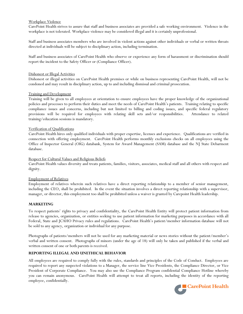# Workplace Violence

CarePoint Health strives to assure that staff and business associates are provided a safe working environment. Violence in the workplace is not tolerated. Workplace violence may be considered illegal and it is certainly unprofessional.

Staff and business associates members who are involved in violent actions against other individuals or verbal or written threats directed at individuals will be subject to disciplinary action, including termination.

Staff and business associates of CarePoint Health who observe or experience any form of harassment or discrimination should report the incident to the Safety Officer or (Compliance Officer).

# Dishonest or Illegal Activities

Dishonest or illegal activities on CarePoint Health premises or while on business representing CarePoint Health, will not be condoned and may result in disciplinary action, up to and including dismissal and criminal prosecution.

# Training and Development

Training will be given to all employees at orientation to ensure employees have the proper knowledge of the organizational policies and processes to perform their duties and meet the needs of CarePoint Health's patients. Training relating to specific compliance issues and concerns, including but not limited to billing and coding issues, and specific federal regulatory provisions will be required for employees with relating skill sets and/or responsibilities. Attendance to related training/education sessions is mandatory.

#### Verification of Qualifications

CarePoint Health hires only qualified individuals with proper expertise, licenses and experience. Qualifications are verified in connection with offering employment. CarePoint Health performs monthly exclusions checks on all employees using the Office of Inspector General (OIG) databank, System for Award Management (SAM) database and the NJ State Debarment database.

# Respect for Cultural Values and Religious Beliefs

CarePoint Health values diversity and treats patients, families, visitors, associates, medical staff and all others with respect and dignity.

# Employment of Relatives

Employment of relatives wherein such relatives have a direct reporting relationship to a member of senior management, including the CEO, shall be prohibited. In the event the situation involves a direct reporting relationship with a supervisor, manager, or director, this employment too shall be prohibited unless a waiver is granted by Carepoint Health leadership.

# **MARKETING**

To respect patients' rights to privacy and confidentiality, the CarePoint Health Entity will protect patient information from release to agencies, organization, or entities seeking to use patient information for marketing purposes in accordance with all Federal, State and JCAHO Privacy rules and regulations. CarePoint Health's patient/member information database will not be sold to any agency, organization or individual for any purpose.

Photographs of patients/members will not be used for any marketing material or news stories without the patient/member's verbal and written consent. Photographs of minors (under the age of 18) will only be taken and published if the verbal and written consent of one or both parents is received.

# **REPORTING ILLEGAL AND UNETHICAL BEHAVIOR**

All employees are required to comply fully with the rules, standards and principles of the Code of Conduct. Employees are required to report any suspected violations to a Manager, the service line Vice Presidents, the Compliance Director, or Vice President of Corporate Compliance. You may also use the Compliance Program confidential Compliance Hotline whereby you can remain anonymous. CarePoint Health will attempt to treat all reports, including the identity of the reporting employee, confidentially.

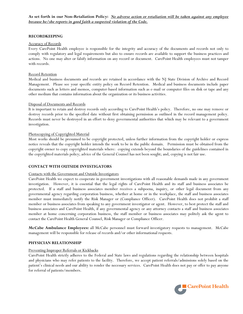# **RECORDKEEPING**

# Accuracy of Records

Every CarePoint Health employee is responsible for the integrity and accuracy of the documents and records not only to comply with regulatory and legal requirements but also to ensure records are available to support the business practices and actions. No one may alter or falsify information on any record or document. CarePoint Health employees must not tamper with records.

# Record Retention

Medical and business documents and records are retained in accordance with the NJ State Division of Archive and Record Management. Please see your specific entity policy on Record Retention. Medical and business documents include paper documents such as letters and memos, computer-based information such as e-mail or computer files on disk or tape and any other medium that contains information about the organization or its business activities.

#### Disposal of Documents and Records

It is important to retain and destroy records only according to CarePoint Health's policy. Therefore, no one may remove or destroy records prior to the specified date without first obtaining permission as outlined in the record management policy. Records must never be destroyed in an effort to deny governmental authorities that which may be relevant to a government investigation.

# Photocopying of Copyrighted Material

Most works should be presumed to be copyright protected, unless further information from the copyright holder or express notice reveals that the copyright holder intends the work to be in the public domain. Permission must be obtained from the copyright owner to copy copyrighted materials where: copying extends beyond the boundaries of the guidelines contained in the copyrighted materials policy; advice of the General Counsel has not been sought; and, copying is not fair use.

# **CONTACT WITH OUTSIDE INVESTIGATORS**

#### Contacts with the Government and Outside Investigators

CarePoint Health we expect to cooperate in government investigations with all reasonable demands made in any government investigation. However, it is essential that the legal rights of CarePoint Health and its staff and business associates be protected. If a staff and business associates member receives a subpoena, inquiry, or other legal document from any governmental agency regarding corporation business, whether at home or in the workplace, the staff and business associates member must immediately notify the Risk Manager or (Compliance Officer). CarePoint Health does not prohibit a staff member or business associates from speaking to any government investigator or agent. However, to best protect the staff and business associates and CarePoint Health, if any governmental agency or any attorney contacts a staff and business associates member at home concerning corporation business, the staff member or business associates may politely ask the agent to contact the CarePoint Health General Counsel, Risk Manager or Compliance Officer.

**McCabe Ambulance Employees:** all McCabe personnel must forward investigatory requests to management. McCabe management will be responsible for release of records and/or other informational requests.

# **PHYSICIAN RELATIONSHIP**

# Preventing Improper Referrals or Kickbacks

CarePoint Health strictly adheres to the Federal and State laws and regulations regarding the relationship between hospitals and physicians who may refer patients to the facility. Therefore, we accept patient referrals/admissions solely based on the patient's clinical needs and our ability to render the necessary services. CarePoint Health does not pay or offer to pay anyone for referral of patients/members.

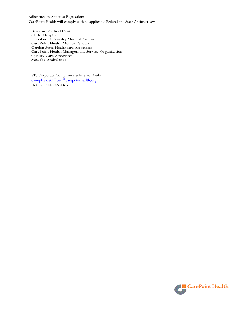Adherence to Antitrust Regulations CarePoint Health will comply with all applicable Federal and State Antitrust laws.

Bayonne Medical Center Christ Hospital Hoboken University Medical Center CarePoint Health Medical Group Garden State Healthcare Associates CarePoint Health Management Service Organization Quality Care Associates McCabe Ambulance

VP, Corporate Compliance & Internal Audit [ComplianceOfficer@carepointhealth.org](mailto:ComplianceOfficer@carepointhealth.org) Hotline: 844.246.4365